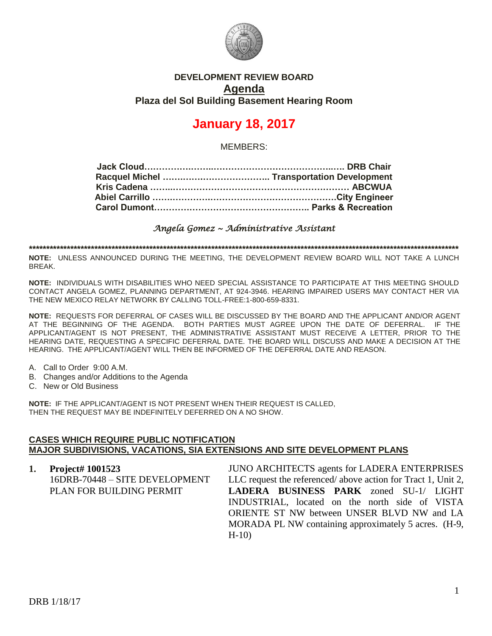

## **DEVELOPMENT REVIEW BOARD Agenda Plaza del Sol Building Basement Hearing Room**

## **January 18, 2017**

MEMBERS:

*Angela Gomez ~ Administrative Assistant* 

**\*\*\*\*\*\*\*\*\*\*\*\*\*\*\*\*\*\*\*\*\*\*\*\*\*\*\*\*\*\*\*\*\*\*\*\*\*\*\*\*\*\*\*\*\*\*\*\*\*\*\*\*\*\*\*\*\*\*\*\*\*\*\*\*\*\*\*\*\*\*\*\*\*\*\*\*\*\*\*\*\*\*\*\*\*\*\*\*\*\*\*\*\*\*\*\*\*\*\*\*\*\*\*\*\*\*\*\*\*\*\*\*\*\*\*\*\*\*\*\*\*\*\*\*\***

**NOTE:** UNLESS ANNOUNCED DURING THE MEETING, THE DEVELOPMENT REVIEW BOARD WILL NOT TAKE A LUNCH BREAK.

**NOTE:** INDIVIDUALS WITH DISABILITIES WHO NEED SPECIAL ASSISTANCE TO PARTICIPATE AT THIS MEETING SHOULD CONTACT ANGELA GOMEZ, PLANNING DEPARTMENT, AT 924-3946. HEARING IMPAIRED USERS MAY CONTACT HER VIA THE NEW MEXICO RELAY NETWORK BY CALLING TOLL-FREE:1-800-659-8331.

**NOTE:** REQUESTS FOR DEFERRAL OF CASES WILL BE DISCUSSED BY THE BOARD AND THE APPLICANT AND/OR AGENT AT THE BEGINNING OF THE AGENDA. BOTH PARTIES MUST AGREE UPON THE DATE OF DEFERRAL. IF THE APPLICANT/AGENT IS NOT PRESENT, THE ADMINISTRATIVE ASSISTANT MUST RECEIVE A LETTER, PRIOR TO THE HEARING DATE, REQUESTING A SPECIFIC DEFERRAL DATE. THE BOARD WILL DISCUSS AND MAKE A DECISION AT THE HEARING. THE APPLICANT/AGENT WILL THEN BE INFORMED OF THE DEFERRAL DATE AND REASON.

- A. Call to Order 9:00 A.M.
- B. Changes and/or Additions to the Agenda
- C. New or Old Business

**NOTE:** IF THE APPLICANT/AGENT IS NOT PRESENT WHEN THEIR REQUEST IS CALLED, THEN THE REQUEST MAY BE INDEFINITELY DEFERRED ON A NO SHOW.

## **CASES WHICH REQUIRE PUBLIC NOTIFICATION MAJOR SUBDIVISIONS, VACATIONS, SIA EXTENSIONS AND SITE DEVELOPMENT PLANS**

**1. Project# 1001523** 16DRB-70448 – SITE DEVELOPMENT PLAN FOR BUILDING PERMIT JUNO ARCHITECTS agents for LADERA ENTERPRISES LLC request the referenced/ above action for Tract 1, Unit 2, **LADERA BUSINESS PARK** zoned SU-1/ LIGHT INDUSTRIAL, located on the north side of VISTA ORIENTE ST NW between UNSER BLVD NW and LA MORADA PL NW containing approximately 5 acres. (H-9, H-10)